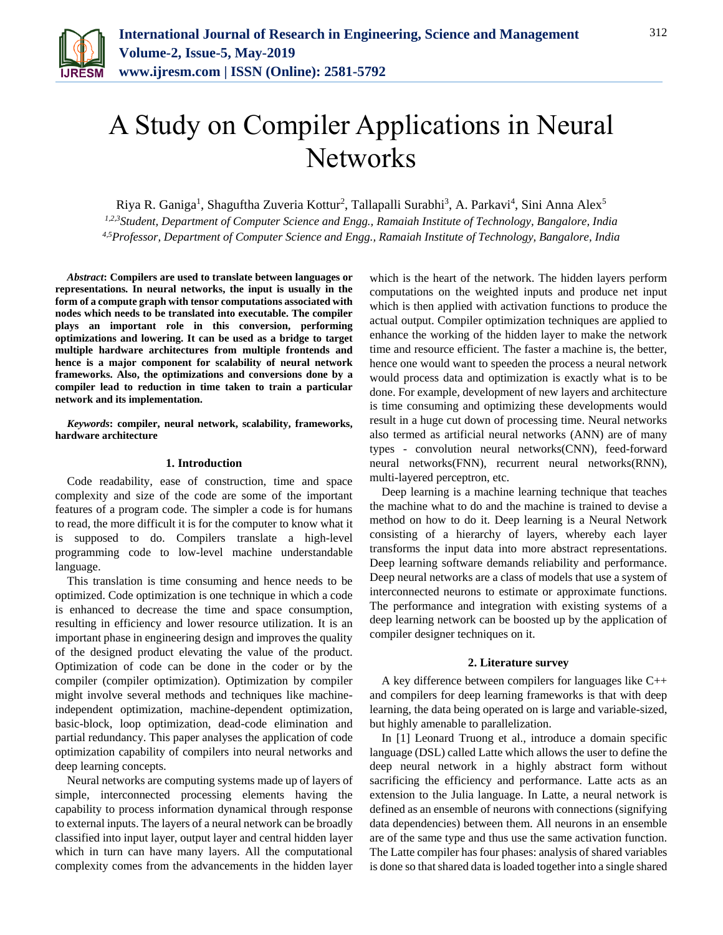

# A Study on Compiler Applications in Neural **Networks**

Riya R. Ganiga<sup>1</sup>, Shaguftha Zuveria Kottur<sup>2</sup>, Tallapalli Surabhi<sup>3</sup>, A. Parkavi<sup>4</sup>, Sini Anna Alex<sup>5</sup>

*1,2,3Student, Department of Computer Science and Engg., Ramaiah Institute of Technology, Bangalore, India 4,5Professor, Department of Computer Science and Engg., Ramaiah Institute of Technology, Bangalore, India*

*Abstract***: Compilers are used to translate between languages or representations. In neural networks, the input is usually in the form of a compute graph with tensor computations associated with nodes which needs to be translated into executable. The compiler plays an important role in this conversion, performing optimizations and lowering. It can be used as a bridge to target multiple hardware architectures from multiple frontends and hence is a major component for scalability of neural network frameworks. Also, the optimizations and conversions done by a compiler lead to reduction in time taken to train a particular network and its implementation.**

*Keywords***: compiler, neural network, scalability, frameworks, hardware architecture**

# **1. Introduction**

Code readability, ease of construction, time and space complexity and size of the code are some of the important features of a program code. The simpler a code is for humans to read, the more difficult it is for the computer to know what it is supposed to do. Compilers translate a high-level programming code to low-level machine understandable language.

This translation is time consuming and hence needs to be optimized. Code optimization is one technique in which a code is enhanced to decrease the time and space consumption, resulting in efficiency and lower resource utilization. It is an important phase in engineering design and improves the quality of the designed product elevating the value of the product. Optimization of code can be done in the coder or by the compiler (compiler optimization). Optimization by compiler might involve several methods and techniques like machineindependent optimization, machine-dependent optimization, basic-block, loop optimization, dead-code elimination and partial redundancy. This paper analyses the application of code optimization capability of compilers into neural networks and deep learning concepts.

Neural networks are computing systems made up of layers of simple, interconnected processing elements having the capability to process information dynamical through response to external inputs. The layers of a neural network can be broadly classified into input layer, output layer and central hidden layer which in turn can have many layers. All the computational complexity comes from the advancements in the hidden layer which is the heart of the network. The hidden layers perform computations on the weighted inputs and produce net input which is then applied with activation functions to produce the actual output. Compiler optimization techniques are applied to enhance the working of the hidden layer to make the network time and resource efficient. The faster a machine is, the better, hence one would want to speeden the process a neural network would process data and optimization is exactly what is to be done. For example, development of new layers and architecture is time consuming and optimizing these developments would result in a huge cut down of processing time. Neural networks also termed as artificial neural networks (ANN) are of many types - convolution neural networks(CNN), feed-forward neural networks(FNN), recurrent neural networks(RNN), multi-layered perceptron, etc.

Deep learning is a machine learning technique that teaches the machine what to do and the machine is trained to devise a method on how to do it. Deep learning is a Neural Network consisting of a hierarchy of layers, whereby each layer transforms the input data into more abstract representations. Deep learning software demands reliability and performance. Deep neural networks are a class of models that use a system of interconnected neurons to estimate or approximate functions. The performance and integration with existing systems of a deep learning network can be boosted up by the application of compiler designer techniques on it.

## **2. Literature survey**

A key difference between compilers for languages like C++ and compilers for deep learning frameworks is that with deep learning, the data being operated on is large and variable-sized, but highly amenable to parallelization.

In [1] Leonard Truong et al., introduce a domain specific language (DSL) called Latte which allows the user to define the deep neural network in a highly abstract form without sacrificing the efficiency and performance. Latte acts as an extension to the Julia language. In Latte, a neural network is defined as an ensemble of neurons with connections (signifying data dependencies) between them. All neurons in an ensemble are of the same type and thus use the same activation function. The Latte compiler has four phases: analysis of shared variables is done so that shared data is loaded together into a single shared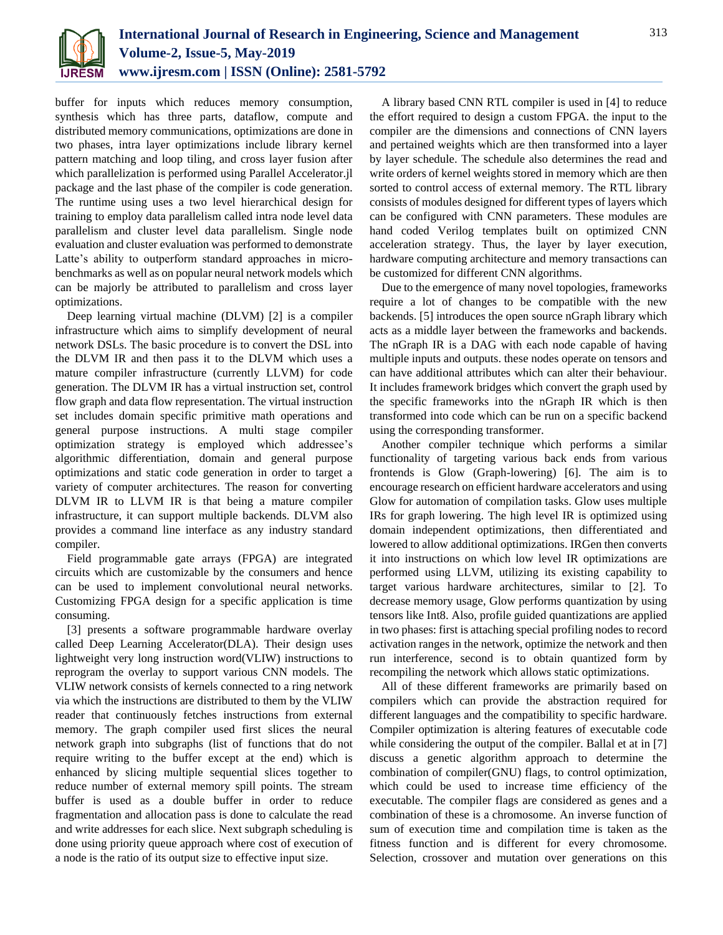

buffer for inputs which reduces memory consumption, synthesis which has three parts, dataflow, compute and distributed memory communications, optimizations are done in two phases, intra layer optimizations include library kernel pattern matching and loop tiling, and cross layer fusion after which parallelization is performed using Parallel Accelerator.jl package and the last phase of the compiler is code generation. The runtime using uses a two level hierarchical design for training to employ data parallelism called intra node level data parallelism and cluster level data parallelism. Single node evaluation and cluster evaluation was performed to demonstrate Latte's ability to outperform standard approaches in microbenchmarks as well as on popular neural network models which can be majorly be attributed to parallelism and cross layer optimizations.

Deep learning virtual machine (DLVM) [2] is a compiler infrastructure which aims to simplify development of neural network DSLs. The basic procedure is to convert the DSL into the DLVM IR and then pass it to the DLVM which uses a mature compiler infrastructure (currently LLVM) for code generation. The DLVM IR has a virtual instruction set, control flow graph and data flow representation. The virtual instruction set includes domain specific primitive math operations and general purpose instructions. A multi stage compiler optimization strategy is employed which addressee's algorithmic differentiation, domain and general purpose optimizations and static code generation in order to target a variety of computer architectures. The reason for converting DLVM IR to LLVM IR is that being a mature compiler infrastructure, it can support multiple backends. DLVM also provides a command line interface as any industry standard compiler.

Field programmable gate arrays (FPGA) are integrated circuits which are customizable by the consumers and hence can be used to implement convolutional neural networks. Customizing FPGA design for a specific application is time consuming.

[3] presents a software programmable hardware overlay called Deep Learning Accelerator(DLA). Their design uses lightweight very long instruction word(VLIW) instructions to reprogram the overlay to support various CNN models. The VLIW network consists of kernels connected to a ring network via which the instructions are distributed to them by the VLIW reader that continuously fetches instructions from external memory. The graph compiler used first slices the neural network graph into subgraphs (list of functions that do not require writing to the buffer except at the end) which is enhanced by slicing multiple sequential slices together to reduce number of external memory spill points. The stream buffer is used as a double buffer in order to reduce fragmentation and allocation pass is done to calculate the read and write addresses for each slice. Next subgraph scheduling is done using priority queue approach where cost of execution of a node is the ratio of its output size to effective input size.

A library based CNN RTL compiler is used in [4] to reduce the effort required to design a custom FPGA. the input to the compiler are the dimensions and connections of CNN layers and pertained weights which are then transformed into a layer by layer schedule. The schedule also determines the read and write orders of kernel weights stored in memory which are then sorted to control access of external memory. The RTL library consists of modules designed for different types of layers which can be configured with CNN parameters. These modules are hand coded Verilog templates built on optimized CNN acceleration strategy. Thus, the layer by layer execution, hardware computing architecture and memory transactions can be customized for different CNN algorithms.

Due to the emergence of many novel topologies, frameworks require a lot of changes to be compatible with the new backends. [5] introduces the open source nGraph library which acts as a middle layer between the frameworks and backends. The nGraph IR is a DAG with each node capable of having multiple inputs and outputs. these nodes operate on tensors and can have additional attributes which can alter their behaviour. It includes framework bridges which convert the graph used by the specific frameworks into the nGraph IR which is then transformed into code which can be run on a specific backend using the corresponding transformer.

Another compiler technique which performs a similar functionality of targeting various back ends from various frontends is Glow (Graph-lowering) [6]. The aim is to encourage research on efficient hardware accelerators and using Glow for automation of compilation tasks. Glow uses multiple IRs for graph lowering. The high level IR is optimized using domain independent optimizations, then differentiated and lowered to allow additional optimizations. IRGen then converts it into instructions on which low level IR optimizations are performed using LLVM, utilizing its existing capability to target various hardware architectures, similar to [2]. To decrease memory usage, Glow performs quantization by using tensors like Int8. Also, profile guided quantizations are applied in two phases: first is attaching special profiling nodes to record activation ranges in the network, optimize the network and then run interference, second is to obtain quantized form by recompiling the network which allows static optimizations.

All of these different frameworks are primarily based on compilers which can provide the abstraction required for different languages and the compatibility to specific hardware. Compiler optimization is altering features of executable code while considering the output of the compiler. Ballal et at in [7] discuss a genetic algorithm approach to determine the combination of compiler(GNU) flags, to control optimization, which could be used to increase time efficiency of the executable. The compiler flags are considered as genes and a combination of these is a chromosome. An inverse function of sum of execution time and compilation time is taken as the fitness function and is different for every chromosome. Selection, crossover and mutation over generations on this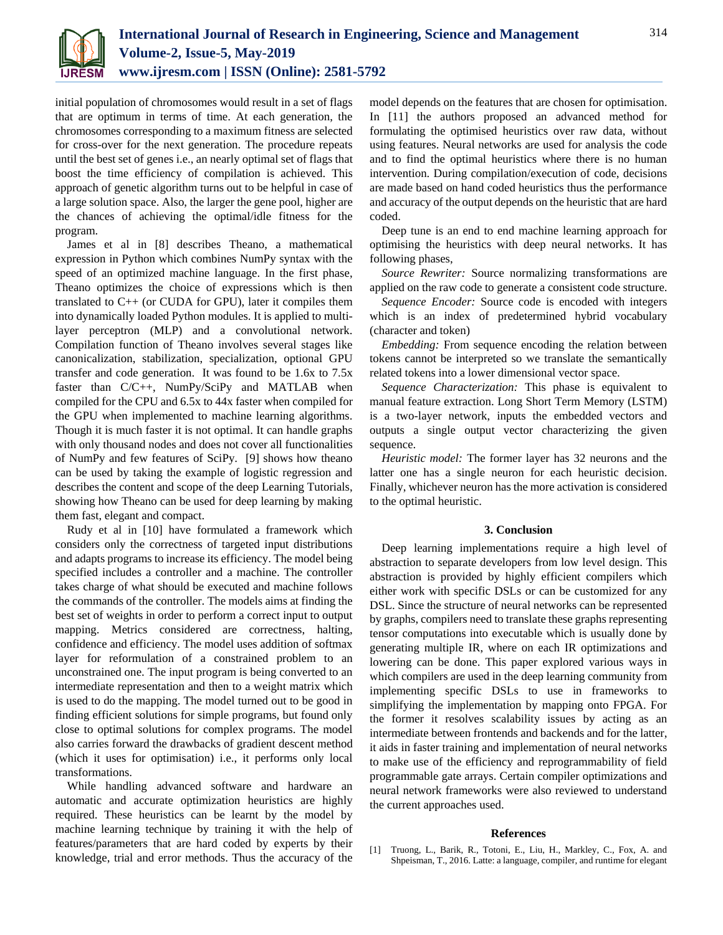

initial population of chromosomes would result in a set of flags that are optimum in terms of time. At each generation, the chromosomes corresponding to a maximum fitness are selected for cross-over for the next generation. The procedure repeats until the best set of genes i.e., an nearly optimal set of flags that boost the time efficiency of compilation is achieved. This approach of genetic algorithm turns out to be helpful in case of a large solution space. Also, the larger the gene pool, higher are the chances of achieving the optimal/idle fitness for the program.

James et al in [8] describes Theano, a mathematical expression in Python which combines NumPy syntax with the speed of an optimized machine language. In the first phase, Theano optimizes the choice of expressions which is then translated to C++ (or CUDA for GPU), later it compiles them into dynamically loaded Python modules. It is applied to multilayer perceptron (MLP) and a convolutional network. Compilation function of Theano involves several stages like canonicalization, stabilization, specialization, optional GPU transfer and code generation. It was found to be 1.6x to 7.5x faster than C/C++, NumPy/SciPy and MATLAB when compiled for the CPU and 6.5x to 44x faster when compiled for the GPU when implemented to machine learning algorithms. Though it is much faster it is not optimal. It can handle graphs with only thousand nodes and does not cover all functionalities of NumPy and few features of SciPy. [9] shows how theano can be used by taking the example of logistic regression and describes the content and scope of the deep Learning Tutorials, showing how Theano can be used for deep learning by making them fast, elegant and compact.

Rudy et al in [10] have formulated a framework which considers only the correctness of targeted input distributions and adapts programs to increase its efficiency. The model being specified includes a controller and a machine. The controller takes charge of what should be executed and machine follows the commands of the controller. The models aims at finding the best set of weights in order to perform a correct input to output mapping. Metrics considered are correctness, halting, confidence and efficiency. The model uses addition of softmax layer for reformulation of a constrained problem to an unconstrained one. The input program is being converted to an intermediate representation and then to a weight matrix which is used to do the mapping. The model turned out to be good in finding efficient solutions for simple programs, but found only close to optimal solutions for complex programs. The model also carries forward the drawbacks of gradient descent method (which it uses for optimisation) i.e., it performs only local transformations.

While handling advanced software and hardware an automatic and accurate optimization heuristics are highly required. These heuristics can be learnt by the model by machine learning technique by training it with the help of features/parameters that are hard coded by experts by their knowledge, trial and error methods. Thus the accuracy of the model depends on the features that are chosen for optimisation. In [11] the authors proposed an advanced method for formulating the optimised heuristics over raw data, without using features. Neural networks are used for analysis the code and to find the optimal heuristics where there is no human intervention. During compilation/execution of code, decisions are made based on hand coded heuristics thus the performance and accuracy of the output depends on the heuristic that are hard coded.

Deep tune is an end to end machine learning approach for optimising the heuristics with deep neural networks. It has following phases,

*Source Rewriter:* Source normalizing transformations are applied on the raw code to generate a consistent code structure.

*Sequence Encoder:* Source code is encoded with integers which is an index of predetermined hybrid vocabulary (character and token)

*Embedding:* From sequence encoding the relation between tokens cannot be interpreted so we translate the semantically related tokens into a lower dimensional vector space.

*Sequence Characterization:* This phase is equivalent to manual feature extraction. Long Short Term Memory (LSTM) is a two-layer network, inputs the embedded vectors and outputs a single output vector characterizing the given sequence.

*Heuristic model:* The former layer has 32 neurons and the latter one has a single neuron for each heuristic decision. Finally, whichever neuron has the more activation is considered to the optimal heuristic.

## **3. Conclusion**

Deep learning implementations require a high level of abstraction to separate developers from low level design. This abstraction is provided by highly efficient compilers which either work with specific DSLs or can be customized for any DSL. Since the structure of neural networks can be represented by graphs, compilers need to translate these graphs representing tensor computations into executable which is usually done by generating multiple IR, where on each IR optimizations and lowering can be done. This paper explored various ways in which compilers are used in the deep learning community from implementing specific DSLs to use in frameworks to simplifying the implementation by mapping onto FPGA. For the former it resolves scalability issues by acting as an intermediate between frontends and backends and for the latter, it aids in faster training and implementation of neural networks to make use of the efficiency and reprogrammability of field programmable gate arrays. Certain compiler optimizations and neural network frameworks were also reviewed to understand the current approaches used.

## **References**

[1] Truong, L., Barik, R., Totoni, E., Liu, H., Markley, C., Fox, A. and Shpeisman, T., 2016. Latte: a language, compiler, and runtime for elegant